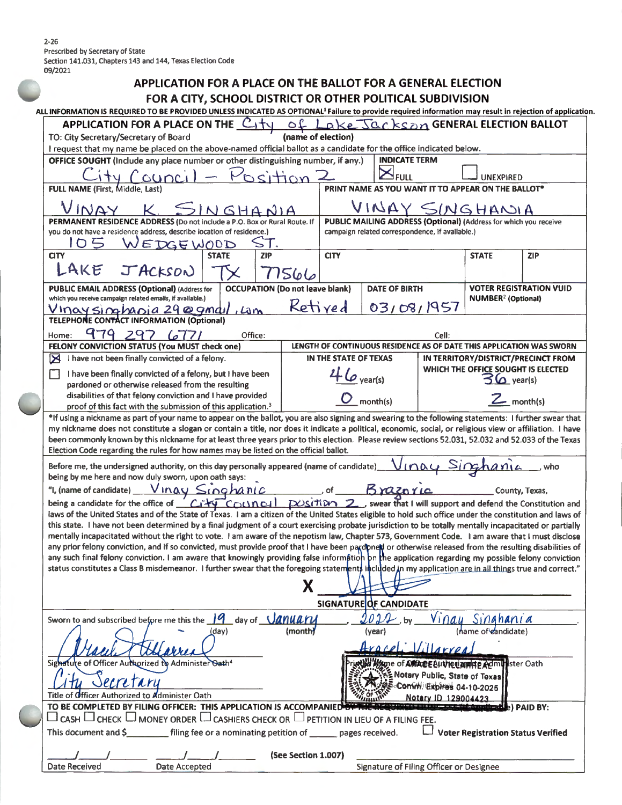2-26 Prescribed by Secretary of State Section 141.031, Chapters 143 and 144, Texas Election Code 09/2021

|                                                                                                                                                                                                                                                                                                                                                                                                                                                                                                                                                                     | APPLICATION FOR A PLACE ON THE BALLOT FOR A GENERAL ELECTION                                                                                                                                                                                                                                                                                                                                                                                                                                                                                                                                                                                                                                                                                                                                                                                                                                                                                                                                                                                                                     |             |                                                                                           |                                      |  |  |  |  |  |  |
|---------------------------------------------------------------------------------------------------------------------------------------------------------------------------------------------------------------------------------------------------------------------------------------------------------------------------------------------------------------------------------------------------------------------------------------------------------------------------------------------------------------------------------------------------------------------|----------------------------------------------------------------------------------------------------------------------------------------------------------------------------------------------------------------------------------------------------------------------------------------------------------------------------------------------------------------------------------------------------------------------------------------------------------------------------------------------------------------------------------------------------------------------------------------------------------------------------------------------------------------------------------------------------------------------------------------------------------------------------------------------------------------------------------------------------------------------------------------------------------------------------------------------------------------------------------------------------------------------------------------------------------------------------------|-------------|-------------------------------------------------------------------------------------------|--------------------------------------|--|--|--|--|--|--|
|                                                                                                                                                                                                                                                                                                                                                                                                                                                                                                                                                                     | FOR A CITY, SCHOOL DISTRICT OR OTHER POLITICAL SUBDIVISION                                                                                                                                                                                                                                                                                                                                                                                                                                                                                                                                                                                                                                                                                                                                                                                                                                                                                                                                                                                                                       |             |                                                                                           |                                      |  |  |  |  |  |  |
|                                                                                                                                                                                                                                                                                                                                                                                                                                                                                                                                                                     | ALL INFORMATION IS REQUIRED TO BE PROVIDED UNLESS INDICATED AS OPTIONAL <sup>1</sup> Failure to provide required information may result in rejection of application.<br>APPLICATION FOR A PLACE ON THE C<br>$\Omega$<br>$ak$ $\epsilon$ $\sqrt{a}$ $\epsilon$ $ks$ $\alpha$ GENERAL ELECTION BALLOT<br>(name of election)<br>TO: City Secretary/Secretary of Board                                                                                                                                                                                                                                                                                                                                                                                                                                                                                                                                                                                                                                                                                                               |             |                                                                                           |                                      |  |  |  |  |  |  |
| I request that my name be placed on the above-named official ballot as a candidate for the office indicated below.<br>OFFICE SOUGHT (Include any place number or other distinguishing number, if any.)<br><b>INDICATE TERM</b>                                                                                                                                                                                                                                                                                                                                      |                                                                                                                                                                                                                                                                                                                                                                                                                                                                                                                                                                                                                                                                                                                                                                                                                                                                                                                                                                                                                                                                                  |             |                                                                                           |                                      |  |  |  |  |  |  |
|                                                                                                                                                                                                                                                                                                                                                                                                                                                                                                                                                                     | sition -<br>aune<br><b>FULL</b><br><b>UNEXPIRED</b>                                                                                                                                                                                                                                                                                                                                                                                                                                                                                                                                                                                                                                                                                                                                                                                                                                                                                                                                                                                                                              |             |                                                                                           |                                      |  |  |  |  |  |  |
|                                                                                                                                                                                                                                                                                                                                                                                                                                                                                                                                                                     | FULL NAME (First, Middle, Last)<br>PRINT NAME AS YOU WANT IT TO APPEAR ON THE BALLOT*                                                                                                                                                                                                                                                                                                                                                                                                                                                                                                                                                                                                                                                                                                                                                                                                                                                                                                                                                                                            |             |                                                                                           |                                      |  |  |  |  |  |  |
|                                                                                                                                                                                                                                                                                                                                                                                                                                                                                                                                                                     | VINAY SINGHANIA                                                                                                                                                                                                                                                                                                                                                                                                                                                                                                                                                                                                                                                                                                                                                                                                                                                                                                                                                                                                                                                                  |             |                                                                                           |                                      |  |  |  |  |  |  |
|                                                                                                                                                                                                                                                                                                                                                                                                                                                                                                                                                                     | PERMANENT RESIDENCE ADDRESS (Do not include a P.O. Box or Rural Route. If<br>PUBLIC MAILING ADDRESS (Optional) (Address for which you receive<br>you do not have a residence address, describe location of residence.)<br>campaign related correspondence, if available.)                                                                                                                                                                                                                                                                                                                                                                                                                                                                                                                                                                                                                                                                                                                                                                                                        |             |                                                                                           |                                      |  |  |  |  |  |  |
|                                                                                                                                                                                                                                                                                                                                                                                                                                                                                                                                                                     | 105<br>DGE WOOD<br>Ε                                                                                                                                                                                                                                                                                                                                                                                                                                                                                                                                                                                                                                                                                                                                                                                                                                                                                                                                                                                                                                                             |             |                                                                                           |                                      |  |  |  |  |  |  |
|                                                                                                                                                                                                                                                                                                                                                                                                                                                                                                                                                                     | <b>CITY</b><br><b>CITY</b><br><b>ZIP</b><br><b>STATE</b><br>LAKE<br>JACKSON                                                                                                                                                                                                                                                                                                                                                                                                                                                                                                                                                                                                                                                                                                                                                                                                                                                                                                                                                                                                      |             | <b>STATE</b>                                                                              | <b>ZIP</b>                           |  |  |  |  |  |  |
|                                                                                                                                                                                                                                                                                                                                                                                                                                                                                                                                                                     | 77566<br><b>OCCUPATION</b> (Do not leave blank)<br><b>DATE OF BIRTH</b>                                                                                                                                                                                                                                                                                                                                                                                                                                                                                                                                                                                                                                                                                                                                                                                                                                                                                                                                                                                                          |             |                                                                                           | <b>VOTER REGISTRATION VUID</b>       |  |  |  |  |  |  |
|                                                                                                                                                                                                                                                                                                                                                                                                                                                                                                                                                                     | <b>PUBLIC EMAIL ADDRESS (Optional) (Address for</b><br>which you receive campaign related emails, if available.)<br>Ketired<br>03/08/1957<br><u>Vinaysinghania 29 @gmdil</u><br>rtûm                                                                                                                                                                                                                                                                                                                                                                                                                                                                                                                                                                                                                                                                                                                                                                                                                                                                                             |             |                                                                                           | <b>NUMBER<sup>2</sup></b> (Optional) |  |  |  |  |  |  |
|                                                                                                                                                                                                                                                                                                                                                                                                                                                                                                                                                                     | <b>TELEPHONE CONTACT INFORMATION (Optional)</b><br>979 297<br>Office:<br>Home:<br>$\sqrt{2}$                                                                                                                                                                                                                                                                                                                                                                                                                                                                                                                                                                                                                                                                                                                                                                                                                                                                                                                                                                                     | Cell:       |                                                                                           |                                      |  |  |  |  |  |  |
|                                                                                                                                                                                                                                                                                                                                                                                                                                                                                                                                                                     | FELONY CONVICTION STATUS (You MUST check one)<br>LENGTH OF CONTINUOUS RESIDENCE AS OF DATE THIS APPLICATION WAS SWORN<br>I have not been finally convicted of a felony.<br>IN THE STATE OF TEXAS<br>ĸ                                                                                                                                                                                                                                                                                                                                                                                                                                                                                                                                                                                                                                                                                                                                                                                                                                                                            |             |                                                                                           |                                      |  |  |  |  |  |  |
|                                                                                                                                                                                                                                                                                                                                                                                                                                                                                                                                                                     | I have been finally convicted of a felony, but I have been<br>$46$ year(s)<br>L.<br>pardoned or otherwise released from the resulting                                                                                                                                                                                                                                                                                                                                                                                                                                                                                                                                                                                                                                                                                                                                                                                                                                                                                                                                            |             | IN TERRITORY/DISTRICT/PRECINCT FROM<br>WHICH THE OFFICE SOUGHT IS ELECTED<br>$56$ year(s) |                                      |  |  |  |  |  |  |
|                                                                                                                                                                                                                                                                                                                                                                                                                                                                                                                                                                     | disabilities of that felony conviction and I have provided<br>$O$ month(s)<br>proof of this fact with the submission of this application. <sup>3</sup>                                                                                                                                                                                                                                                                                                                                                                                                                                                                                                                                                                                                                                                                                                                                                                                                                                                                                                                           |             | $Z_{\text{month(s)}}$                                                                     |                                      |  |  |  |  |  |  |
| *If using a nickname as part of your name to appear on the ballot, you are also signing and swearing to the following statements: I further swear that<br>my nickname does not constitute a slogan or contain a title, nor does it indicate a political, economic, social, or religious view or affiliation. I have<br>been commonly known by this nickname for at least three years prior to this election. Please review sections 52.031, 52.032 and 52.033 of the Texas<br>Election Code regarding the rules for how names may be listed on the official ballot. |                                                                                                                                                                                                                                                                                                                                                                                                                                                                                                                                                                                                                                                                                                                                                                                                                                                                                                                                                                                                                                                                                  |             |                                                                                           |                                      |  |  |  |  |  |  |
| Before me, the undersigned authority, on this day personally appeared (name of candidate)<br>who<br>nay<br>being by me here and now duly sworn, upon oath says:                                                                                                                                                                                                                                                                                                                                                                                                     |                                                                                                                                                                                                                                                                                                                                                                                                                                                                                                                                                                                                                                                                                                                                                                                                                                                                                                                                                                                                                                                                                  |             |                                                                                           |                                      |  |  |  |  |  |  |
|                                                                                                                                                                                                                                                                                                                                                                                                                                                                                                                                                                     | Vinay Singhanic<br>Braznric<br>"I, (name of candidate)<br>of                                                                                                                                                                                                                                                                                                                                                                                                                                                                                                                                                                                                                                                                                                                                                                                                                                                                                                                                                                                                                     |             |                                                                                           | County, Texas,                       |  |  |  |  |  |  |
|                                                                                                                                                                                                                                                                                                                                                                                                                                                                                                                                                                     | being a candidate for the office of City Council<br>swear that I will support and defend the Constitution and<br>position<br>laws of the United States and of the State of Texas. I am a citizen of the United States eligible to hold such office under the constitution and laws of<br>this state. I have not been determined by a final judgment of a court exercising probate jurisdiction to be totally mentally incapacitated or partially<br>mentally incapacitated without the right to vote. I am aware of the nepotism law, Chapter 573, Government Code. I am aware that I must disclose<br>any prior felony conviction, and if so convicted, must provide proof that I have been pagdpnext or otherwise released from the resulting disabilities of<br>any such final felony conviction. I am aware that knowingly providing false information bn the application regarding my possible felony conviction<br>status constitutes a Class B misdemeanor. I further swear that the foregoing statements included in my application are in all things true and correct." |             |                                                                                           |                                      |  |  |  |  |  |  |
|                                                                                                                                                                                                                                                                                                                                                                                                                                                                                                                                                                     | Χ<br>SIGNATURE OF CANDIDATE                                                                                                                                                                                                                                                                                                                                                                                                                                                                                                                                                                                                                                                                                                                                                                                                                                                                                                                                                                                                                                                      |             |                                                                                           |                                      |  |  |  |  |  |  |
|                                                                                                                                                                                                                                                                                                                                                                                                                                                                                                                                                                     | Sworn to and subscribed before me this the 19<br>day of <b>January</b><br>(month)<br>(day)<br>(year)                                                                                                                                                                                                                                                                                                                                                                                                                                                                                                                                                                                                                                                                                                                                                                                                                                                                                                                                                                             |             | <u>Vinau Singhania</u><br>(name of candidate)                                             |                                      |  |  |  |  |  |  |
|                                                                                                                                                                                                                                                                                                                                                                                                                                                                                                                                                                     | Araceli Villarreal<br>e of Officer Authorized to Administer Oath <sup>4</sup><br>New May e of AMACEAUVILUANTE Admi                                                                                                                                                                                                                                                                                                                                                                                                                                                                                                                                                                                                                                                                                                                                                                                                                                                                                                                                                               |             | ster Oath                                                                                 |                                      |  |  |  |  |  |  |
| Notary Public, State of Texas<br>ecretary<br><b>AS-Comm. Expires 04-10-2025</b><br><b>Officer Authorized to Administer Oath</b><br>Notary ID 129004423                                                                                                                                                                                                                                                                                                                                                                                                              |                                                                                                                                                                                                                                                                                                                                                                                                                                                                                                                                                                                                                                                                                                                                                                                                                                                                                                                                                                                                                                                                                  |             |                                                                                           |                                      |  |  |  |  |  |  |
|                                                                                                                                                                                                                                                                                                                                                                                                                                                                                                                                                                     | TO BE COMPLETED BY FILING OFFICER: THIS APPLICATION IS ACCOMPANIED<br>$\square$ cash $\square$ check $\square$ money order $\square$ cashiers check or $\square$ pet $\scriptstyle\rm II$ ition in Lieu of a filing fee.                                                                                                                                                                                                                                                                                                                                                                                                                                                                                                                                                                                                                                                                                                                                                                                                                                                         | e) PAID BY: |                                                                                           |                                      |  |  |  |  |  |  |
| This document and \$_<br>filing fee or a nominating petition of ______ pages received.<br><b>Voter Registration Status Verified</b>                                                                                                                                                                                                                                                                                                                                                                                                                                 |                                                                                                                                                                                                                                                                                                                                                                                                                                                                                                                                                                                                                                                                                                                                                                                                                                                                                                                                                                                                                                                                                  |             |                                                                                           |                                      |  |  |  |  |  |  |
|                                                                                                                                                                                                                                                                                                                                                                                                                                                                                                                                                                     | (See Section 1.007)<br><b>Date Received</b><br>Signature of Filing Officer or Designee<br>Date Accepted                                                                                                                                                                                                                                                                                                                                                                                                                                                                                                                                                                                                                                                                                                                                                                                                                                                                                                                                                                          |             |                                                                                           |                                      |  |  |  |  |  |  |
|                                                                                                                                                                                                                                                                                                                                                                                                                                                                                                                                                                     |                                                                                                                                                                                                                                                                                                                                                                                                                                                                                                                                                                                                                                                                                                                                                                                                                                                                                                                                                                                                                                                                                  |             |                                                                                           |                                      |  |  |  |  |  |  |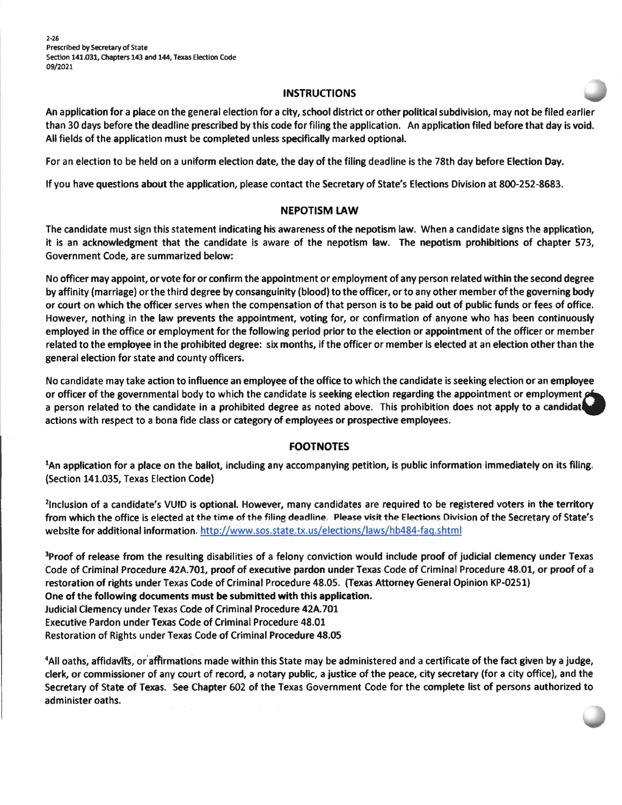2-26 Prescribed by Secretary of State Section 141.031, Chapters 143 and **144,** Texas Election Code 09/2021

### **INSTRUCTIONS**

An application for a place on the general election for a city, school district or other political subdivision, may not be filed earlier than 30 days before the deadline prescribed by this code for filing the application. An application filed before that day is void. All fields of the application must be completed unless specifically marked optional.

For an election to be held on a uniform election date, the day of the filing deadline is the 78th day before Election Day.

If you have questions about the application, please contact the Secretary of State's Elections Division at 800-252-8683.

### **NEPOTISM LAW**

The candidate must sign this statement indicating his awareness of the nepotism law. When a candidate signs the application, it is an acknowledgment that the candidate is aware of the nepotism law. The nepotism prohibitions of chapter 573, Government Code, are summarized below:

No officer may appoint, or vote for or confirm the appointment or employment of any person related within the second degree by affinity {marriage) or the third degree by consanguinity {blood) to the officer, or to any other member of the governing body or court on which the officer serves when the compensation of that person is to be paid out of public funds or fees of office. However, nothing in the law prevents the appointment, voting for, or confirmation of anyone who has been continuously employed in the office or employment for the following period prior to the election or appointment of the officer or member related to the employee in the prohibited degree: six months, if the officer or member is elected at an election other than the general election for state and county officers.

No candidate may take action to influence an employee of the office to which the candidate is seeking election or an employee or officer of the governmental body to which the candidate is seeking election regarding the appointment or employment  $\rho$ a person related to the candidate in a prohibited degree as noted above. This prohibition does not apply to a candidate actions with respect to a bona fide class or category of employees or prospective employees.

### **FOOTNOTES**

1 An application for a place on the ballot, including any accompanying petition, is public information immediately on its filing. {Section 141.035, Texas Election Code)

<sup>2</sup>Inclusion of a candidate's VUID is optional. However, many candidates are required to be registered voters in the territory from which the office is elected at the time of the filing deadline. Please visit the Elections Division of the Secretary of State's website for additional information. http://www.sos.state.tx.us/elections/laws/hb484-faq.shtml

<sup>3</sup>Proof of release from the resulting disabilities of a felony conviction would include proof of judicial clemency under Texas Code of Criminal Procedure 42A.701, proof of executive pardon under Texas Code of Criminal Procedure 48.01, or proof of a restoration of rights under Texas Code of Criminal Procedure 48.05. {Texas Attorney General Opinion KP-0251)

One of the following documents must be submitted with this application.

Judicial Clemency under Texas Code of Criminal Procedure 42A.701

Executive Pardon under Texas Code of Criminal Procedure 48.01

Restoration of Rights under Texas Code of Criminal Procedure 48.05

<sup>4</sup>All oaths, affidavits, or affirmations made within this State may be administered and a certificate of the fact given by a judge, clerk, or commissioner of any court of record, a notary public, a justice of the peace, city secretary {for a city office), and the Secretary of State of Texas. See Chapter 602 of the Texas Government Code for the complete list of persons authorized to administer oaths.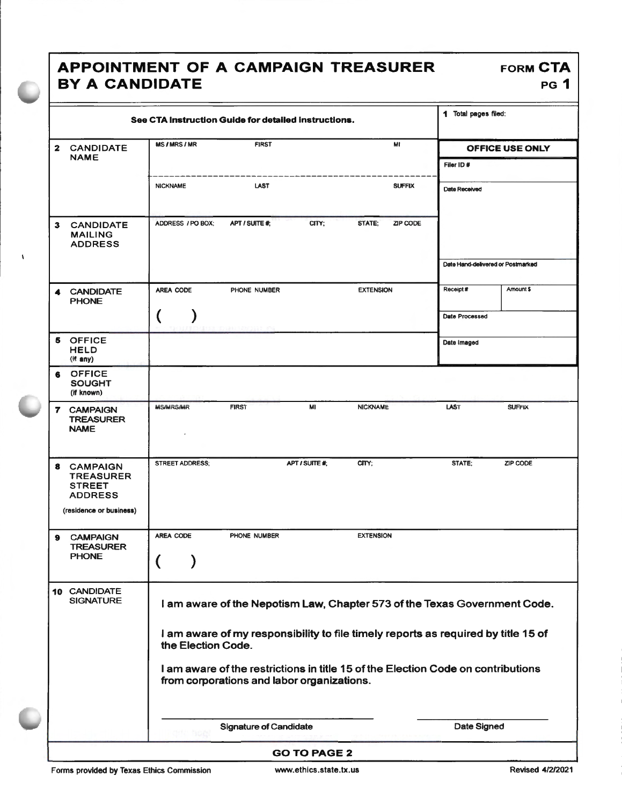# **APPOINTMENT OF A CAMPAIGN TREASURER FORM CTA BY A CANDIDATE** PG 1

| See CTA Instruction Guide for detailed instructions. |                                                                                                               |                                                                                                                                |                |                | 1 Total pages filed: |               |                                   |               |  |  |
|------------------------------------------------------|---------------------------------------------------------------------------------------------------------------|--------------------------------------------------------------------------------------------------------------------------------|----------------|----------------|----------------------|---------------|-----------------------------------|---------------|--|--|
|                                                      | 2 CANDIDATE                                                                                                   | <b>MS/MRS/MR</b>                                                                                                               | <b>FIRST</b>   |                |                      | MI            | OFFICE USE ONLY                   |               |  |  |
|                                                      | <b>NAME</b>                                                                                                   |                                                                                                                                |                |                |                      |               | Filer ID #                        |               |  |  |
|                                                      |                                                                                                               | <b>NICKNAME</b>                                                                                                                | <b>LAST</b>    |                |                      | <b>SUFFIX</b> | Date Received                     |               |  |  |
|                                                      | 3 CANDIDATE<br><b>MAILING</b><br><b>ADDRESS</b>                                                               | ADDRESS / PO BOX:                                                                                                              | APT / SUITE #: | CITY;          | STATE;               | ZIP CODE      | Date Hand-delivered or Postmarked |               |  |  |
|                                                      |                                                                                                               |                                                                                                                                |                |                |                      |               |                                   |               |  |  |
| 4                                                    | <b>CANDIDATE</b><br><b>PHONE</b>                                                                              | <b>AREA CODE</b>                                                                                                               | PHONE NUMBER   |                | <b>EXTENSION</b>     |               | Receipt#                          | Amount \$     |  |  |
|                                                      |                                                                                                               | (                                                                                                                              |                |                |                      |               | Date Processed                    |               |  |  |
|                                                      | 5 OFFICE<br><b>HELD</b><br>$($ if any $)$                                                                     |                                                                                                                                |                |                |                      |               | Date Imaged                       |               |  |  |
| 6                                                    | <b>OFFICE</b><br><b>SOUGHT</b><br>(if known)                                                                  |                                                                                                                                |                |                |                      |               |                                   |               |  |  |
|                                                      | 7 CAMPAIGN<br><b>TREASURER</b><br><b>NAME</b>                                                                 | <b>MS/MRS/MR</b>                                                                                                               | <b>FIRST</b>   | MI             | <b>NICKNAME</b>      |               | <b>LAST</b>                       | <b>SUFFIX</b> |  |  |
|                                                      | 8 CAMPAIGN<br><b>TREASURER</b><br><b>STREET</b><br><b>ADDRESS</b><br>(residence or business)                  | <b>STREET ADDRESS;</b>                                                                                                         |                | APT / SUITE #; | CITY:                |               | STATE:                            | ZIP CODE      |  |  |
|                                                      |                                                                                                               |                                                                                                                                |                |                |                      |               |                                   |               |  |  |
| 9                                                    | <b>CAMPAIGN</b><br><b>TREASURER</b><br><b>PHONE</b>                                                           | AREA CODE<br>$\mathcal{L}$<br>$\lambda$<br>N                                                                                   | PHONE NUMBER   |                | <b>EXTENSION</b>     |               |                                   |               |  |  |
|                                                      | 10 CANDIDATE<br><b>SIGNATURE</b><br>I am aware of the Nepotism Law, Chapter 573 of the Texas Government Code. |                                                                                                                                |                |                |                      |               |                                   |               |  |  |
|                                                      |                                                                                                               | I am aware of my responsibility to file timely reports as required by title 15 of<br>the Election Code.                        |                |                |                      |               |                                   |               |  |  |
|                                                      |                                                                                                               | I am aware of the restrictions in title 15 of the Election Code on contributions<br>from corporations and labor organizations. |                |                |                      |               |                                   |               |  |  |
| <b>Signature of Candidate</b>                        |                                                                                                               |                                                                                                                                |                |                |                      | Date Signed   |                                   |               |  |  |
|                                                      | <b>GO TO PAGE 2</b>                                                                                           |                                                                                                                                |                |                |                      |               |                                   |               |  |  |

 $\lambda$